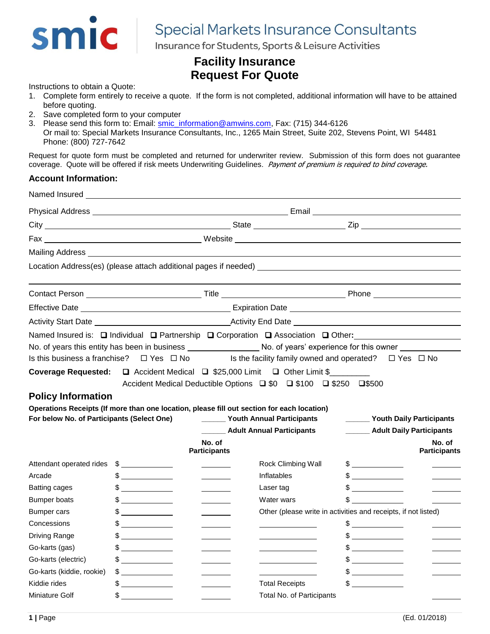

# **Special Markets Insurance Consultants**

Insurance for Students, Sports & Leisure Activities

# **Facility Insurance Request For Quote**

Instructions to obtain a Quote:

- 1. Complete form entirely to receive a quote. If the form is not completed, additional information will have to be attained before quoting.
- 2. Save completed form to your computer
- 3. Please send this form to: Email: [smic\\_information@amwins.com,](mailto:smic_information@amwins.com) Fax: (715) 344-6126
- Or mail to: Special Markets Insurance Consultants, Inc., 1265 Main Street, Suite 202, Stevens Point, WI 54481 Phone: (800) 727-7642

Request for quote form must be completed and returned for underwriter review. Submission of this form does not guarantee coverage. Quote will be offered if risk meets Underwriting Guidelines. Payment of premium is required to bind coverage.

## **Account Information:**

| Named Insured _                                                         |                                                                                                                                                                                                                                                                                                               |                                                                |                                                                                                        |                                           |                                 |  |  |
|-------------------------------------------------------------------------|---------------------------------------------------------------------------------------------------------------------------------------------------------------------------------------------------------------------------------------------------------------------------------------------------------------|----------------------------------------------------------------|--------------------------------------------------------------------------------------------------------|-------------------------------------------|---------------------------------|--|--|
|                                                                         |                                                                                                                                                                                                                                                                                                               |                                                                |                                                                                                        |                                           |                                 |  |  |
|                                                                         |                                                                                                                                                                                                                                                                                                               |                                                                |                                                                                                        |                                           |                                 |  |  |
|                                                                         |                                                                                                                                                                                                                                                                                                               |                                                                |                                                                                                        |                                           |                                 |  |  |
|                                                                         |                                                                                                                                                                                                                                                                                                               |                                                                |                                                                                                        |                                           |                                 |  |  |
|                                                                         |                                                                                                                                                                                                                                                                                                               |                                                                |                                                                                                        |                                           |                                 |  |  |
|                                                                         |                                                                                                                                                                                                                                                                                                               |                                                                |                                                                                                        |                                           |                                 |  |  |
|                                                                         | Activity Start Date <b>Constant Date</b> Activity End Date <b>Constant Date</b> Activity End Date<br>Named Insured is: □ Individual □ Partnership □ Corporation □ Association □ Other:<br>No. of years this entity has been in business ______________________ No. of years' experience for this owner ______ |                                                                |                                                                                                        |                                           |                                 |  |  |
|                                                                         |                                                                                                                                                                                                                                                                                                               |                                                                |                                                                                                        |                                           |                                 |  |  |
| Is this business a franchise?                                           | $\Box$ Yes $\Box$ No                                                                                                                                                                                                                                                                                          |                                                                | Is the facility family owned and operated? $\Box$ Yes $\Box$ No                                        |                                           |                                 |  |  |
| <b>Policy Information</b><br>For below No. of Participants (Select One) | Coverage Requested: □ Accident Medical □ \$25,000 Limit □ Other Limit \$<br>Operations Receipts (If more than one location, please fill out section for each location)                                                                                                                                        |                                                                | Accident Medical Deductible Options □ \$0 □ \$100 □ \$250 □ \$500<br>_______ Youth Annual Participants |                                           | <b>Wouth Daily Participants</b> |  |  |
|                                                                         |                                                                                                                                                                                                                                                                                                               |                                                                | ______ Adult Annual Participants                                                                       |                                           | ______ Adult Daily Participants |  |  |
|                                                                         |                                                                                                                                                                                                                                                                                                               | No. of<br><b>Participants</b>                                  |                                                                                                        |                                           | No. of<br><b>Participants</b>   |  |  |
| Attendant operated rides                                                | $\frac{1}{2}$                                                                                                                                                                                                                                                                                                 |                                                                | Rock Climbing Wall                                                                                     | $\frac{1}{2}$                             |                                 |  |  |
| Arcade                                                                  | $\frac{1}{2}$                                                                                                                                                                                                                                                                                                 |                                                                | Inflatables                                                                                            | $\begin{array}{c c} \uparrow \end{array}$ |                                 |  |  |
| <b>Batting cages</b>                                                    | $\frac{1}{2}$                                                                                                                                                                                                                                                                                                 | <u> Liberatura de la p</u>                                     | Laser tag                                                                                              | $\frac{1}{2}$                             |                                 |  |  |
| <b>Bumper boats</b>                                                     | $\frac{1}{2}$                                                                                                                                                                                                                                                                                                 |                                                                | Water wars                                                                                             | $\sim$ $\sim$                             |                                 |  |  |
| <b>Bumper cars</b>                                                      | $\frac{1}{2}$                                                                                                                                                                                                                                                                                                 | Other (please write in activities and receipts, if not listed) |                                                                                                        |                                           |                                 |  |  |
| Concessions                                                             | $\frac{1}{2}$                                                                                                                                                                                                                                                                                                 |                                                                |                                                                                                        | $\frac{1}{2}$                             |                                 |  |  |
| Driving Range                                                           | $\frac{1}{2}$                                                                                                                                                                                                                                                                                                 |                                                                |                                                                                                        | $\frac{1}{2}$                             |                                 |  |  |
| Go-karts (gas)                                                          | $\frac{1}{2}$                                                                                                                                                                                                                                                                                                 |                                                                |                                                                                                        | $\frac{1}{2}$                             |                                 |  |  |
| Go-karts (electric)                                                     | $\frac{1}{2}$                                                                                                                                                                                                                                                                                                 |                                                                |                                                                                                        | $\frac{1}{2}$                             |                                 |  |  |
| Go-karts (kiddie, rookie)                                               | $\sim$ 5                                                                                                                                                                                                                                                                                                      |                                                                |                                                                                                        | $\frac{1}{2}$                             |                                 |  |  |
| Kiddie rides                                                            | $\frac{1}{2}$                                                                                                                                                                                                                                                                                                 |                                                                | <b>Total Receipts</b>                                                                                  | $\frac{1}{2}$                             |                                 |  |  |
| Miniature Golf                                                          | \$                                                                                                                                                                                                                                                                                                            |                                                                | Total No. of Participants                                                                              |                                           |                                 |  |  |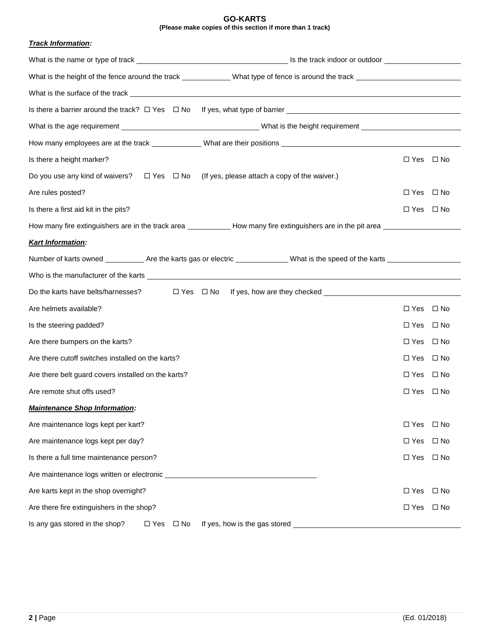#### **GO-KARTS (Please make copies of this section if more than 1 track)**

### *Track Information:*

| What is the height of the fence around the track ______________What type of fence is around the track _________________________________ |                                                          |                      |              |  |  |  |
|-----------------------------------------------------------------------------------------------------------------------------------------|----------------------------------------------------------|----------------------|--------------|--|--|--|
| What is the surface of the track experience of the surface of the track of the surface of the surface of the track                      |                                                          |                      |              |  |  |  |
|                                                                                                                                         |                                                          |                      |              |  |  |  |
|                                                                                                                                         |                                                          |                      |              |  |  |  |
| How many employees are at the track ______________What are their positions ___________________________________                          |                                                          |                      |              |  |  |  |
| Is there a height marker?                                                                                                               |                                                          | $\Box$ Yes $\Box$ No |              |  |  |  |
| Do you use any kind of waivers? $\square$ Yes $\square$ No (If yes, please attach a copy of the waiver.)                                |                                                          |                      |              |  |  |  |
| Are rules posted?                                                                                                                       |                                                          | □ Yes □ No           |              |  |  |  |
| Is there a first aid kit in the pits?                                                                                                   |                                                          | □ Yes □ No           |              |  |  |  |
| How many fire extinguishers are in the track area _____________How many fire extinguishers are in the pit area ________________________ |                                                          |                      |              |  |  |  |
| <b>Kart Information:</b>                                                                                                                |                                                          |                      |              |  |  |  |
| Number of karts owned ____________ Are the karts gas or electric _______________ What is the speed of the karts ______________________  |                                                          |                      |              |  |  |  |
|                                                                                                                                         |                                                          |                      |              |  |  |  |
| Do the karts have belts/harnesses?                                                                                                      | $\Box$ Yes $\Box$ No If yes, how are they checked $\Box$ |                      |              |  |  |  |
| Are helmets available?                                                                                                                  |                                                          | □ Yes □ No           |              |  |  |  |
| Is the steering padded?                                                                                                                 |                                                          | □ Yes □ No           |              |  |  |  |
| Are there bumpers on the karts?                                                                                                         |                                                          | □ Yes                | ⊟ No         |  |  |  |
| Are there cutoff switches installed on the karts?                                                                                       | $\Box$ Yes $\Box$ No                                     |                      |              |  |  |  |
| Are there belt guard covers installed on the karts?                                                                                     |                                                          | $\Box$ Yes $\Box$ No |              |  |  |  |
| Are remote shut offs used?                                                                                                              |                                                          | $\Box$ Yes $\Box$ No |              |  |  |  |
| <b>Maintenance Shop Information:</b>                                                                                                    |                                                          |                      |              |  |  |  |
| Are maintenance logs kept per kart?                                                                                                     |                                                          | $\square$ Yes        | $\square$ No |  |  |  |
| Are maintenance logs kept per day?                                                                                                      |                                                          | $\Box$ Yes           | $\Box$ No    |  |  |  |
| Is there a full time maintenance person?                                                                                                |                                                          | $\Box$ Yes           | $\square$ No |  |  |  |
| Are maintenance logs written or electronic                                                                                              |                                                          |                      |              |  |  |  |
| Are karts kept in the shop overnight?                                                                                                   | $\Box$ Yes                                               | $\Box$ No            |              |  |  |  |
| Are there fire extinguishers in the shop?                                                                                               | $\Box$ Yes                                               | $\Box$ No            |              |  |  |  |
| Is any gas stored in the shop?<br>$\Box$ Yes $\Box$ No                                                                                  | If yes, how is the gas stored                            |                      |              |  |  |  |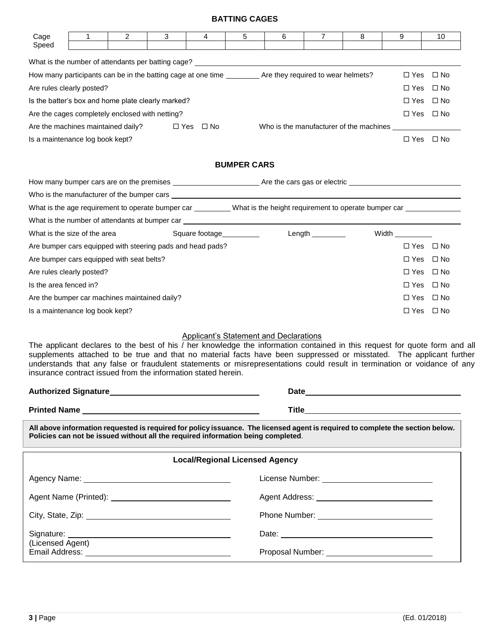# **BATTING CAGES**

| 1                                                                                                                                                                                                                  | 2 | 3                                                                                                                                                                                                  | 4                                                                                                                                             | 5                    | 6                                                                                                                                                                                                                                                                                                                                                                   | 7                                                                                            | 8                                              | 9                                                                                                                             | 10                                                                                                                                                                                                                                                                                                                                                                                                                                                                                                                                                                                                                                                                                                                                                                                                                                                                                                                                                                                                                                                                                                                                     |
|--------------------------------------------------------------------------------------------------------------------------------------------------------------------------------------------------------------------|---|----------------------------------------------------------------------------------------------------------------------------------------------------------------------------------------------------|-----------------------------------------------------------------------------------------------------------------------------------------------|----------------------|---------------------------------------------------------------------------------------------------------------------------------------------------------------------------------------------------------------------------------------------------------------------------------------------------------------------------------------------------------------------|----------------------------------------------------------------------------------------------|------------------------------------------------|-------------------------------------------------------------------------------------------------------------------------------|----------------------------------------------------------------------------------------------------------------------------------------------------------------------------------------------------------------------------------------------------------------------------------------------------------------------------------------------------------------------------------------------------------------------------------------------------------------------------------------------------------------------------------------------------------------------------------------------------------------------------------------------------------------------------------------------------------------------------------------------------------------------------------------------------------------------------------------------------------------------------------------------------------------------------------------------------------------------------------------------------------------------------------------------------------------------------------------------------------------------------------------|
|                                                                                                                                                                                                                    |   |                                                                                                                                                                                                    |                                                                                                                                               |                      |                                                                                                                                                                                                                                                                                                                                                                     |                                                                                              |                                                |                                                                                                                               |                                                                                                                                                                                                                                                                                                                                                                                                                                                                                                                                                                                                                                                                                                                                                                                                                                                                                                                                                                                                                                                                                                                                        |
|                                                                                                                                                                                                                    |   |                                                                                                                                                                                                    |                                                                                                                                               |                      |                                                                                                                                                                                                                                                                                                                                                                     |                                                                                              |                                                |                                                                                                                               |                                                                                                                                                                                                                                                                                                                                                                                                                                                                                                                                                                                                                                                                                                                                                                                                                                                                                                                                                                                                                                                                                                                                        |
|                                                                                                                                                                                                                    |   |                                                                                                                                                                                                    |                                                                                                                                               |                      |                                                                                                                                                                                                                                                                                                                                                                     |                                                                                              |                                                |                                                                                                                               | $\Box$ Yes $\Box$ No                                                                                                                                                                                                                                                                                                                                                                                                                                                                                                                                                                                                                                                                                                                                                                                                                                                                                                                                                                                                                                                                                                                   |
|                                                                                                                                                                                                                    |   |                                                                                                                                                                                                    |                                                                                                                                               |                      |                                                                                                                                                                                                                                                                                                                                                                     |                                                                                              |                                                | $\Box$ Yes                                                                                                                    | $\Box$ No                                                                                                                                                                                                                                                                                                                                                                                                                                                                                                                                                                                                                                                                                                                                                                                                                                                                                                                                                                                                                                                                                                                              |
| Is the batter's box and home plate clearly marked?                                                                                                                                                                 |   |                                                                                                                                                                                                    |                                                                                                                                               |                      |                                                                                                                                                                                                                                                                                                                                                                     |                                                                                              |                                                | ⊟ No                                                                                                                          |                                                                                                                                                                                                                                                                                                                                                                                                                                                                                                                                                                                                                                                                                                                                                                                                                                                                                                                                                                                                                                                                                                                                        |
|                                                                                                                                                                                                                    |   |                                                                                                                                                                                                    |                                                                                                                                               |                      |                                                                                                                                                                                                                                                                                                                                                                     |                                                                                              |                                                |                                                                                                                               | $\Box$ Yes $\Box$ No                                                                                                                                                                                                                                                                                                                                                                                                                                                                                                                                                                                                                                                                                                                                                                                                                                                                                                                                                                                                                                                                                                                   |
|                                                                                                                                                                                                                    |   |                                                                                                                                                                                                    |                                                                                                                                               |                      |                                                                                                                                                                                                                                                                                                                                                                     |                                                                                              |                                                |                                                                                                                               |                                                                                                                                                                                                                                                                                                                                                                                                                                                                                                                                                                                                                                                                                                                                                                                                                                                                                                                                                                                                                                                                                                                                        |
|                                                                                                                                                                                                                    |   |                                                                                                                                                                                                    |                                                                                                                                               |                      |                                                                                                                                                                                                                                                                                                                                                                     |                                                                                              |                                                |                                                                                                                               | $\Box$ Yes $\Box$ No                                                                                                                                                                                                                                                                                                                                                                                                                                                                                                                                                                                                                                                                                                                                                                                                                                                                                                                                                                                                                                                                                                                   |
|                                                                                                                                                                                                                    |   |                                                                                                                                                                                                    |                                                                                                                                               |                      |                                                                                                                                                                                                                                                                                                                                                                     |                                                                                              |                                                |                                                                                                                               |                                                                                                                                                                                                                                                                                                                                                                                                                                                                                                                                                                                                                                                                                                                                                                                                                                                                                                                                                                                                                                                                                                                                        |
|                                                                                                                                                                                                                    |   |                                                                                                                                                                                                    |                                                                                                                                               |                      |                                                                                                                                                                                                                                                                                                                                                                     |                                                                                              |                                                |                                                                                                                               |                                                                                                                                                                                                                                                                                                                                                                                                                                                                                                                                                                                                                                                                                                                                                                                                                                                                                                                                                                                                                                                                                                                                        |
|                                                                                                                                                                                                                    |   |                                                                                                                                                                                                    |                                                                                                                                               |                      |                                                                                                                                                                                                                                                                                                                                                                     |                                                                                              |                                                |                                                                                                                               |                                                                                                                                                                                                                                                                                                                                                                                                                                                                                                                                                                                                                                                                                                                                                                                                                                                                                                                                                                                                                                                                                                                                        |
|                                                                                                                                                                                                                    |   |                                                                                                                                                                                                    |                                                                                                                                               |                      |                                                                                                                                                                                                                                                                                                                                                                     |                                                                                              |                                                |                                                                                                                               |                                                                                                                                                                                                                                                                                                                                                                                                                                                                                                                                                                                                                                                                                                                                                                                                                                                                                                                                                                                                                                                                                                                                        |
|                                                                                                                                                                                                                    |   |                                                                                                                                                                                                    |                                                                                                                                               |                      |                                                                                                                                                                                                                                                                                                                                                                     |                                                                                              |                                                |                                                                                                                               |                                                                                                                                                                                                                                                                                                                                                                                                                                                                                                                                                                                                                                                                                                                                                                                                                                                                                                                                                                                                                                                                                                                                        |
|                                                                                                                                                                                                                    |   |                                                                                                                                                                                                    |                                                                                                                                               |                      |                                                                                                                                                                                                                                                                                                                                                                     |                                                                                              |                                                |                                                                                                                               |                                                                                                                                                                                                                                                                                                                                                                                                                                                                                                                                                                                                                                                                                                                                                                                                                                                                                                                                                                                                                                                                                                                                        |
|                                                                                                                                                                                                                    |   |                                                                                                                                                                                                    |                                                                                                                                               |                      |                                                                                                                                                                                                                                                                                                                                                                     |                                                                                              |                                                |                                                                                                                               | $\Box$ Yes $\Box$ No                                                                                                                                                                                                                                                                                                                                                                                                                                                                                                                                                                                                                                                                                                                                                                                                                                                                                                                                                                                                                                                                                                                   |
|                                                                                                                                                                                                                    |   |                                                                                                                                                                                                    |                                                                                                                                               |                      |                                                                                                                                                                                                                                                                                                                                                                     |                                                                                              |                                                | $\Box$ Yes                                                                                                                    | $\Box$ No                                                                                                                                                                                                                                                                                                                                                                                                                                                                                                                                                                                                                                                                                                                                                                                                                                                                                                                                                                                                                                                                                                                              |
|                                                                                                                                                                                                                    |   |                                                                                                                                                                                                    |                                                                                                                                               |                      |                                                                                                                                                                                                                                                                                                                                                                     |                                                                                              |                                                |                                                                                                                               | $\Box$ Yes $\Box$ No                                                                                                                                                                                                                                                                                                                                                                                                                                                                                                                                                                                                                                                                                                                                                                                                                                                                                                                                                                                                                                                                                                                   |
| Is the area fenced in?                                                                                                                                                                                             |   |                                                                                                                                                                                                    |                                                                                                                                               |                      |                                                                                                                                                                                                                                                                                                                                                                     |                                                                                              |                                                | $\Box$ Yes                                                                                                                    | $\Box$ No                                                                                                                                                                                                                                                                                                                                                                                                                                                                                                                                                                                                                                                                                                                                                                                                                                                                                                                                                                                                                                                                                                                              |
|                                                                                                                                                                                                                    |   |                                                                                                                                                                                                    |                                                                                                                                               |                      |                                                                                                                                                                                                                                                                                                                                                                     |                                                                                              |                                                | $\Box$ Yes                                                                                                                    | $\Box$ No                                                                                                                                                                                                                                                                                                                                                                                                                                                                                                                                                                                                                                                                                                                                                                                                                                                                                                                                                                                                                                                                                                                              |
|                                                                                                                                                                                                                    |   |                                                                                                                                                                                                    |                                                                                                                                               |                      |                                                                                                                                                                                                                                                                                                                                                                     |                                                                                              |                                                |                                                                                                                               | $\Box$ Yes $\Box$ No                                                                                                                                                                                                                                                                                                                                                                                                                                                                                                                                                                                                                                                                                                                                                                                                                                                                                                                                                                                                                                                                                                                   |
|                                                                                                                                                                                                                    |   |                                                                                                                                                                                                    |                                                                                                                                               |                      |                                                                                                                                                                                                                                                                                                                                                                     |                                                                                              |                                                |                                                                                                                               |                                                                                                                                                                                                                                                                                                                                                                                                                                                                                                                                                                                                                                                                                                                                                                                                                                                                                                                                                                                                                                                                                                                                        |
|                                                                                                                                                                                                                    |   |                                                                                                                                                                                                    |                                                                                                                                               |                      |                                                                                                                                                                                                                                                                                                                                                                     |                                                                                              |                                                |                                                                                                                               |                                                                                                                                                                                                                                                                                                                                                                                                                                                                                                                                                                                                                                                                                                                                                                                                                                                                                                                                                                                                                                                                                                                                        |
|                                                                                                                                                                                                                    |   |                                                                                                                                                                                                    |                                                                                                                                               |                      |                                                                                                                                                                                                                                                                                                                                                                     |                                                                                              |                                                |                                                                                                                               |                                                                                                                                                                                                                                                                                                                                                                                                                                                                                                                                                                                                                                                                                                                                                                                                                                                                                                                                                                                                                                                                                                                                        |
| All above information requested is required for policy issuance. The licensed agent is required to complete the section below.<br>Policies can not be issued without all the required information being completed. |   |                                                                                                                                                                                                    |                                                                                                                                               |                      |                                                                                                                                                                                                                                                                                                                                                                     |                                                                                              |                                                |                                                                                                                               |                                                                                                                                                                                                                                                                                                                                                                                                                                                                                                                                                                                                                                                                                                                                                                                                                                                                                                                                                                                                                                                                                                                                        |
|                                                                                                                                                                                                                    |   |                                                                                                                                                                                                    |                                                                                                                                               |                      |                                                                                                                                                                                                                                                                                                                                                                     |                                                                                              |                                                |                                                                                                                               |                                                                                                                                                                                                                                                                                                                                                                                                                                                                                                                                                                                                                                                                                                                                                                                                                                                                                                                                                                                                                                                                                                                                        |
|                                                                                                                                                                                                                    |   |                                                                                                                                                                                                    |                                                                                                                                               |                      |                                                                                                                                                                                                                                                                                                                                                                     |                                                                                              |                                                |                                                                                                                               |                                                                                                                                                                                                                                                                                                                                                                                                                                                                                                                                                                                                                                                                                                                                                                                                                                                                                                                                                                                                                                                                                                                                        |
|                                                                                                                                                                                                                    |   |                                                                                                                                                                                                    |                                                                                                                                               |                      |                                                                                                                                                                                                                                                                                                                                                                     |                                                                                              |                                                |                                                                                                                               |                                                                                                                                                                                                                                                                                                                                                                                                                                                                                                                                                                                                                                                                                                                                                                                                                                                                                                                                                                                                                                                                                                                                        |
|                                                                                                                                                                                                                    |   |                                                                                                                                                                                                    |                                                                                                                                               |                      |                                                                                                                                                                                                                                                                                                                                                                     |                                                                                              |                                                |                                                                                                                               |                                                                                                                                                                                                                                                                                                                                                                                                                                                                                                                                                                                                                                                                                                                                                                                                                                                                                                                                                                                                                                                                                                                                        |
|                                                                                                                                                                                                                    |   |                                                                                                                                                                                                    |                                                                                                                                               |                      |                                                                                                                                                                                                                                                                                                                                                                     |                                                                                              |                                                |                                                                                                                               |                                                                                                                                                                                                                                                                                                                                                                                                                                                                                                                                                                                                                                                                                                                                                                                                                                                                                                                                                                                                                                                                                                                                        |
| (Licensed Agent)                                                                                                                                                                                                   |   |                                                                                                                                                                                                    |                                                                                                                                               |                      |                                                                                                                                                                                                                                                                                                                                                                     |                                                                                              |                                                |                                                                                                                               |                                                                                                                                                                                                                                                                                                                                                                                                                                                                                                                                                                                                                                                                                                                                                                                                                                                                                                                                                                                                                                                                                                                                        |
|                                                                                                                                                                                                                    |   | Are rules clearly posted?<br>Are the machines maintained daily?<br>Is a maintenance log book kept?<br>What is the size of the area<br>Are rules clearly posted?<br>Is a maintenance log book kept? | Are the cages completely enclosed with netting?<br>Are bumper cars equipped with seat belts?<br>Are the bumper car machines maintained daily? | $\Box$ Yes $\Box$ No | Are bumper cars equipped with steering pads and head pads?<br>insurance contract issued from the information stated herein.<br>Printed Name <b>All According to the Contract Oriental According to the Contract Oriental According to the Contract Oriental According to the Contract Oriental According to the Contract Oriental According to the Contract Ori</b> | <b>BUMPER CARS</b><br>Square footage Square footage<br><b>Local/Regional Licensed Agency</b> | Applicant's Statement and Declarations<br>Date | How many participants can be in the batting cage at one time _________ Are they required to wear helmets?<br>Length _________ | What is the number of attendants per batting cage? <u>experience and a serience</u> of the series of the series of the<br>$\Box$ Yes<br>What is the age requirement to operate bumper car _________ What is the height requirement to operate bumper car ___________<br><b>Width</b><br>The applicant declares to the best of his / her knowledge the information contained in this request for quote form and all<br>supplements attached to be true and that no material facts have been suppressed or misstated. The applicant further<br>understands that any false or fraudulent statements or misrepresentations could result in termination or voidance of any<br><u> 1980 - Jan Samuel Barbara, margaret e</u> n 1980 eta eta eskualdean eta eskualdean eta eskualdean eta eskualdean<br><b>Title The Community of the Community of the Community of the Community of the Community of the Community of the Community of the Community of the Community of the Community of the Community of the Community of the Commu</b><br>License Number: ______________________________<br>Proposal Number: ____________________________ |